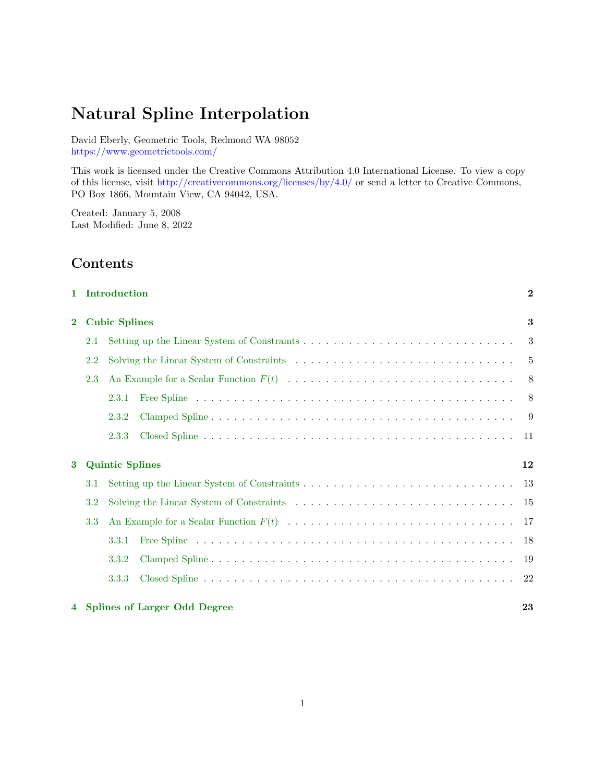# Natural Spline Interpolation

David Eberly, Geometric Tools, Redmond WA 98052 <https://www.geometrictools.com/>

This work is licensed under the Creative Commons Attribution 4.0 International License. To view a copy of this license, visit <http://creativecommons.org/licenses/by/4.0/> or send a letter to Creative Commons, PO Box 1866, Mountain View, CA 94042, USA.

[1 Introduction](#page-1-0) 2

Created: January 5, 2008 Last Modified: June 8, 2022

# Contents

| $\mathbf{2}$ |     | <b>Cubic Splines</b><br>3 |                                |      |  |  |  |  |  |  |
|--------------|-----|---------------------------|--------------------------------|------|--|--|--|--|--|--|
|              | 2.1 |                           |                                |      |  |  |  |  |  |  |
|              | 2.2 |                           |                                |      |  |  |  |  |  |  |
|              | 2.3 |                           |                                | - 8  |  |  |  |  |  |  |
|              |     | 2.3.1                     |                                | -8   |  |  |  |  |  |  |
|              |     | 2.3.2                     |                                | -9   |  |  |  |  |  |  |
|              |     | 2.3.3                     |                                | 11   |  |  |  |  |  |  |
| 3            |     | <b>Quintic Splines</b>    |                                | 12   |  |  |  |  |  |  |
|              | 3.1 |                           |                                | 13   |  |  |  |  |  |  |
|              | 3.2 |                           |                                | 15   |  |  |  |  |  |  |
|              | 3.3 |                           |                                |      |  |  |  |  |  |  |
|              |     | 3.3.1                     |                                | -18  |  |  |  |  |  |  |
|              |     | 3.3.2                     |                                | 19   |  |  |  |  |  |  |
|              |     | 3.3.3                     |                                | - 22 |  |  |  |  |  |  |
|              |     |                           | 4 Splines of Larger Odd Degree | 23   |  |  |  |  |  |  |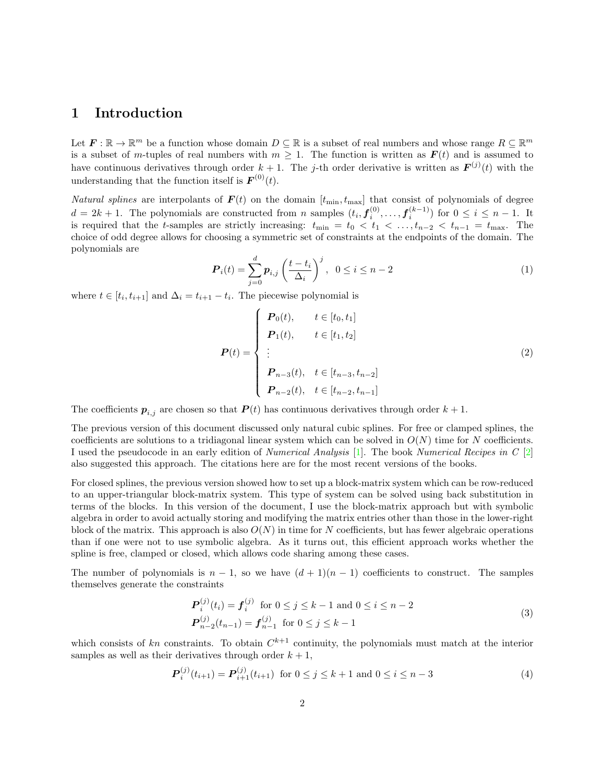### <span id="page-1-0"></span>1 Introduction

Let  $\mathbf{F} : \mathbb{R} \to \mathbb{R}^m$  be a function whose domain  $D \subseteq \mathbb{R}$  is a subset of real numbers and whose range  $R \subseteq \mathbb{R}^m$ is a subset of m-tuples of real numbers with  $m \geq 1$ . The function is written as  $\mathbf{F}(t)$  and is assumed to have continuous derivatives through order  $k+1$ . The j-th order derivative is written as  $\mathbf{F}^{(j)}(t)$  with the understanding that the function itself is  $\mathbf{F}^{(0)}(t)$ .

Natural splines are interpolants of  $F(t)$  on the domain  $[t_{\min}, t_{\max}]$  that consist of polynomials of degree  $d = 2k + 1$ . The polynomials are constructed from *n* samples  $(t_i, \boldsymbol{f}_i^{(0)}, \ldots, \boldsymbol{f}_i^{(k-1)})$  for  $0 \leq i \leq n-1$ . It is required that the t-samples are strictly increasing:  $t_{\min} = t_0 < t_1 < \ldots, t_{n-2} < t_{n-1} = t_{\max}$ . The choice of odd degree allows for choosing a symmetric set of constraints at the endpoints of the domain. The polynomials are

$$
\boldsymbol{P}_i(t) = \sum_{j=0}^d \boldsymbol{p}_{i,j} \left(\frac{t - t_i}{\Delta_i}\right)^j, \ \ 0 \le i \le n-2 \tag{1}
$$

where  $t \in [t_i, t_{i+1}]$  and  $\Delta_i = t_{i+1} - t_i$ . The piecewise polynomial is

$$
\boldsymbol{P}(t) = \begin{cases}\n\boldsymbol{P}_0(t), & t \in [t_0, t_1] \\
\boldsymbol{P}_1(t), & t \in [t_1, t_2] \\
\vdots \\
\boldsymbol{P}_{n-3}(t), & t \in [t_{n-3}, t_{n-2}] \\
\boldsymbol{P}_{n-2}(t), & t \in [t_{n-2}, t_{n-1}]\n\end{cases}
$$
\n(2)

The coefficients  $p_{i,j}$  are chosen so that  $P(t)$  has continuous derivatives through order  $k+1$ .

The previous version of this document discussed only natural cubic splines. For free or clamped splines, the coefficients are solutions to a tridiagonal linear system which can be solved in  $O(N)$  time for N coefficients. I used the pseudocode in an early edition of Numerical Analysis [\[1\]](#page-23-0). The book Numerical Recipes in C [\[2\]](#page-23-1) also suggested this approach. The citations here are for the most recent versions of the books.

For closed splines, the previous version showed how to set up a block-matrix system which can be row-reduced to an upper-triangular block-matrix system. This type of system can be solved using back substitution in terms of the blocks. In this version of the document, I use the block-matrix approach but with symbolic algebra in order to avoid actually storing and modifying the matrix entries other than those in the lower-right block of the matrix. This approach is also  $O(N)$  in time for N coefficients, but has fewer algebraic operations than if one were not to use symbolic algebra. As it turns out, this efficient approach works whether the spline is free, clamped or closed, which allows code sharing among these cases.

The number of polynomials is  $n-1$ , so we have  $(d+1)(n-1)$  coefficients to construct. The samples themselves generate the constraints

$$
\begin{aligned} \mathbf{P}_i^{(j)}(t_i) &= \mathbf{f}_i^{(j)} \quad \text{for } 0 \le j \le k-1 \text{ and } 0 \le i \le n-2\\ \mathbf{P}_{n-2}^{(j)}(t_{n-1}) &= \mathbf{f}_{n-1}^{(j)} \quad \text{for } 0 \le j \le k-1 \end{aligned} \tag{3}
$$

which consists of kn constraints. To obtain  $C^{k+1}$  continuity, the polynomials must match at the interior samples as well as their derivatives through order  $k + 1$ ,

$$
\boldsymbol{P}_{i}^{(j)}(t_{i+1}) = \boldsymbol{P}_{i+1}^{(j)}(t_{i+1}) \text{ for } 0 \le j \le k+1 \text{ and } 0 \le i \le n-3
$$
\n<sup>(4)</sup>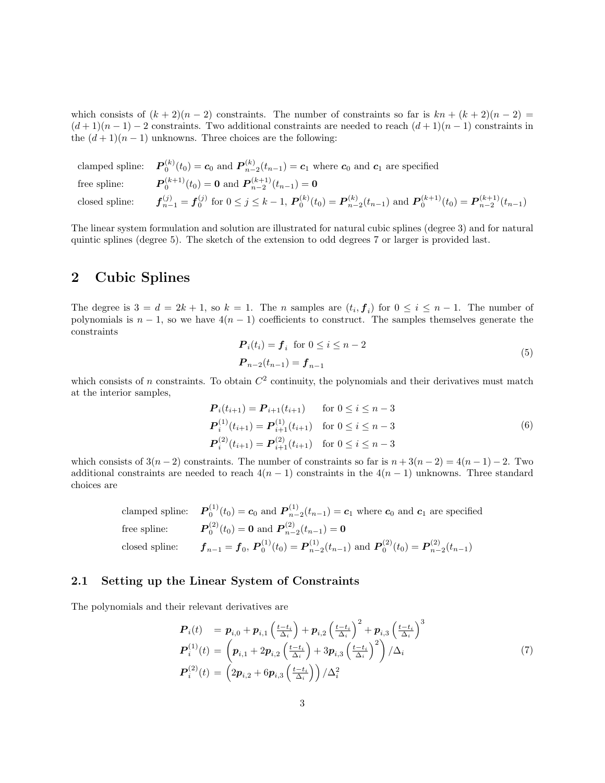which consists of  $(k+2)(n-2)$  constraints. The number of constraints so far is  $kn + (k+2)(n-2) =$  $(d+1)(n-1)-2$  constraints. Two additional constraints are needed to reach  $(d+1)(n-1)$  constraints in the  $(d+1)(n-1)$  unknowns. Three choices are the following:

|                | clamped spline: $P_0^{(k)}(t_0) = c_0$ and $P_{n-2}^{(k)}(t_{n-1}) = c_1$ where $c_0$ and $c_1$ are specified                                   |
|----------------|-------------------------------------------------------------------------------------------------------------------------------------------------|
|                | free spline: $P_0^{(k+1)}(t_0) = \mathbf{0}$ and $P_{n-2}^{(k+1)}(t_{n-1}) = \mathbf{0}$                                                        |
| closed spline: | $f_{n-1}^{(j)} = f_0^{(j)}$ for $0 \le j \le k-1$ , $P_0^{(k)}(t_0) = P_{n-2}^{(k)}(t_{n-1})$ and $P_0^{(k+1)}(t_0) = P_{n-2}^{(k+1)}(t_{n-1})$ |

The linear system formulation and solution are illustrated for natural cubic splines (degree 3) and for natural quintic splines (degree 5). The sketch of the extension to odd degrees 7 or larger is provided last.

### <span id="page-2-0"></span>2 Cubic Splines

The degree is  $3 = d = 2k + 1$ , so  $k = 1$ . The *n* samples are  $(t_i, f_i)$  for  $0 \le i \le n - 1$ . The number of polynomials is  $n-1$ , so we have  $4(n-1)$  coefficients to construct. The samples themselves generate the constraints

<span id="page-2-2"></span>
$$
\begin{aligned} \mathbf{P}_i(t_i) &= \mathbf{f}_i \quad \text{for } 0 \le i \le n-2\\ \mathbf{P}_{n-2}(t_{n-1}) &= \mathbf{f}_{n-1} \end{aligned} \tag{5}
$$

which consists of n constraints. To obtain  $C^2$  continuity, the polynomials and their derivatives must match at the interior samples,

<span id="page-2-3"></span>
$$
\begin{aligned}\n\mathbf{P}_i(t_{i+1}) &= \mathbf{P}_{i+1}(t_{i+1}) & \text{for } 0 \le i \le n-3 \\
\mathbf{P}_i^{(1)}(t_{i+1}) &= \mathbf{P}_{i+1}^{(1)}(t_{i+1}) & \text{for } 0 \le i \le n-3 \\
\mathbf{P}_i^{(2)}(t_{i+1}) &= \mathbf{P}_{i+1}^{(2)}(t_{i+1}) & \text{for } 0 \le i \le n-3\n\end{aligned}\n\tag{6}
$$

which consists of  $3(n-2)$  constraints. The number of constraints so far is  $n + 3(n-2) = 4(n-1) - 2$ . Two additional constraints are needed to reach  $4(n-1)$  constraints in the  $4(n-1)$  unknowns. Three standard choices are

clamped spline: 
$$
\mathbf{P}_0^{(1)}(t_0) = \mathbf{c}_0
$$
 and  $\mathbf{P}_{n-2}^{(1)}(t_{n-1}) = \mathbf{c}_1$  where  $\mathbf{c}_0$  and  $\mathbf{c}_1$  are specified  
free spline:  $\mathbf{P}_0^{(2)}(t_0) = \mathbf{0}$  and  $\mathbf{P}_{n-2}^{(2)}(t_{n-1}) = \mathbf{0}$   
closed spline:  $\mathbf{f}_{n-1} = \mathbf{f}_0$ ,  $\mathbf{P}_0^{(1)}(t_0) = \mathbf{P}_{n-2}^{(1)}(t_{n-1})$  and  $\mathbf{P}_0^{(2)}(t_0) = \mathbf{P}_{n-2}^{(2)}(t_{n-1})$ 

### <span id="page-2-1"></span>2.1 Setting up the Linear System of Constraints

The polynomials and their relevant derivatives are

$$
\begin{array}{ll} \boldsymbol{P}_{i}(t) & = \boldsymbol{p}_{i,0} + \boldsymbol{p}_{i,1} \left( \frac{t - t_{i}}{\Delta_{i}} \right) + \boldsymbol{p}_{i,2} \left( \frac{t - t_{i}}{\Delta_{i}} \right)^{2} + \boldsymbol{p}_{i,3} \left( \frac{t - t_{i}}{\Delta_{i}} \right)^{3} \\ \boldsymbol{P}_{i}^{(1)}(t) & = \left( \boldsymbol{p}_{i,1} + 2\boldsymbol{p}_{i,2} \left( \frac{t - t_{i}}{\Delta_{i}} \right) + 3\boldsymbol{p}_{i,3} \left( \frac{t - t_{i}}{\Delta_{i}} \right)^{2} \right) / \Delta_{i} \\ \boldsymbol{P}_{i}^{(2)}(t) & = \left( 2\boldsymbol{p}_{i,2} + 6\boldsymbol{p}_{i,3} \left( \frac{t - t_{i}}{\Delta_{i}} \right) \right) / \Delta_{i}^{2} \end{array} \tag{7}
$$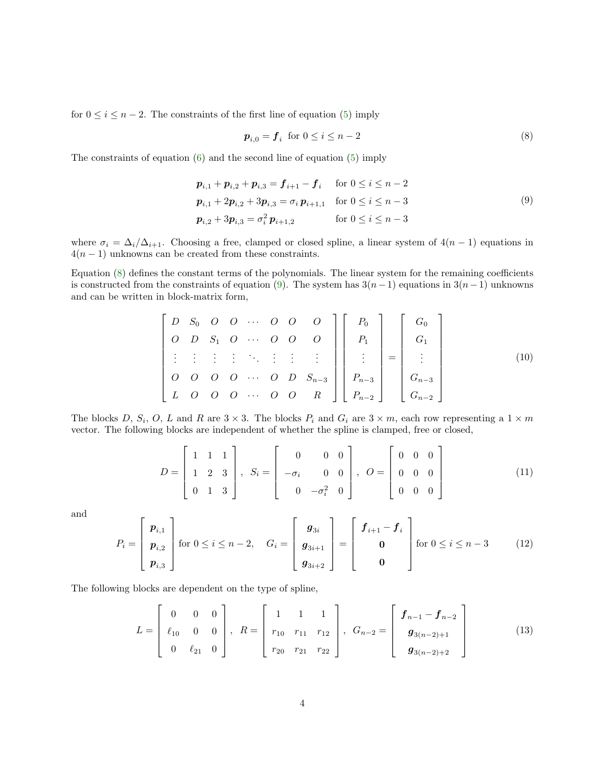for  $0 \leq i \leq n-2$ . The constraints of the first line of equation [\(5\)](#page-2-2) imply

<span id="page-3-0"></span>
$$
\boldsymbol{p}_{i,0} = \boldsymbol{f}_i \text{ for } 0 \le i \le n-2 \tag{8}
$$

The constraints of equation [\(6\)](#page-2-3) and the second line of equation [\(5\)](#page-2-2) imply

<span id="page-3-1"></span>
$$
p_{i,1} + p_{i,2} + p_{i,3} = f_{i+1} - f_i \quad \text{for } 0 \le i \le n-2
$$
  
\n
$$
p_{i,1} + 2p_{i,2} + 3p_{i,3} = \sigma_i p_{i+1,1} \quad \text{for } 0 \le i \le n-3
$$
  
\n
$$
p_{i,2} + 3p_{i,3} = \sigma_i^2 p_{i+1,2} \quad \text{for } 0 \le i \le n-3
$$
  
\n(9)

where  $\sigma_i = \Delta_i/\Delta_{i+1}$ . Choosing a free, clamped or closed spline, a linear system of  $4(n-1)$  equations in  $4(n-1)$  unknowns can be created from these constraints.

Equation [\(8\)](#page-3-0) defines the constant terms of the polynomials. The linear system for the remaining coefficients is constructed from the constraints of equation [\(9\)](#page-3-1). The system has  $3(n-1)$  equations in  $3(n-1)$  unknowns and can be written in block-matrix form,

<span id="page-3-2"></span>
$$
\begin{bmatrix}\nD & S_0 & O & O & \cdots & O & O & O \\
O & D & S_1 & O & \cdots & O & O & O \\
\vdots & \vdots & \vdots & \ddots & \vdots & \vdots & \vdots \\
O & O & O & O & \cdots & O & D & S_{n-3} \\
L & O & O & O & \cdots & O & O & R\n\end{bmatrix}\n\begin{bmatrix}\nP_0 \\
P_1 \\
\vdots \\
P_{n-3} \\
P_{n-2}\n\end{bmatrix}\n=\n\begin{bmatrix}\nG_0 \\
G_1 \\
\vdots \\
G_{n-2}\n\end{bmatrix}
$$
\n(10)

The blocks D,  $S_i$ , O, L and R are  $3 \times 3$ . The blocks  $P_i$  and  $G_i$  are  $3 \times m$ , each row representing a  $1 \times m$ vector. The following blocks are independent of whether the spline is clamped, free or closed,

$$
D = \begin{bmatrix} 1 & 1 & 1 \\ 1 & 2 & 3 \\ 0 & 1 & 3 \end{bmatrix}, S_i = \begin{bmatrix} 0 & 0 & 0 \\ -\sigma_i & 0 & 0 \\ 0 & -\sigma_i^2 & 0 \end{bmatrix}, O = \begin{bmatrix} 0 & 0 & 0 \\ 0 & 0 & 0 \\ 0 & 0 & 0 \end{bmatrix}
$$
(11)

and

$$
P_{i} = \begin{bmatrix} p_{i,1} \\ p_{i,2} \\ p_{i,3} \end{bmatrix} \text{ for } 0 \leq i \leq n-2, \quad G_{i} = \begin{bmatrix} g_{3i} \\ g_{3i+1} \\ g_{3i+2} \end{bmatrix} = \begin{bmatrix} f_{i+1} - f_{i} \\ 0 \\ 0 \end{bmatrix} \text{ for } 0 \leq i \leq n-3 \quad (12)
$$

The following blocks are dependent on the type of spline,

$$
L = \begin{bmatrix} 0 & 0 & 0 \\ \ell_{10} & 0 & 0 \\ 0 & \ell_{21} & 0 \end{bmatrix}, \ R = \begin{bmatrix} 1 & 1 & 1 \\ r_{10} & r_{11} & r_{12} \\ r_{20} & r_{21} & r_{22} \end{bmatrix}, \ G_{n-2} = \begin{bmatrix} f_{n-1} - f_{n-2} \\ g_{3(n-2)+1} \\ g_{3(n-2)+2} \end{bmatrix}
$$
(13)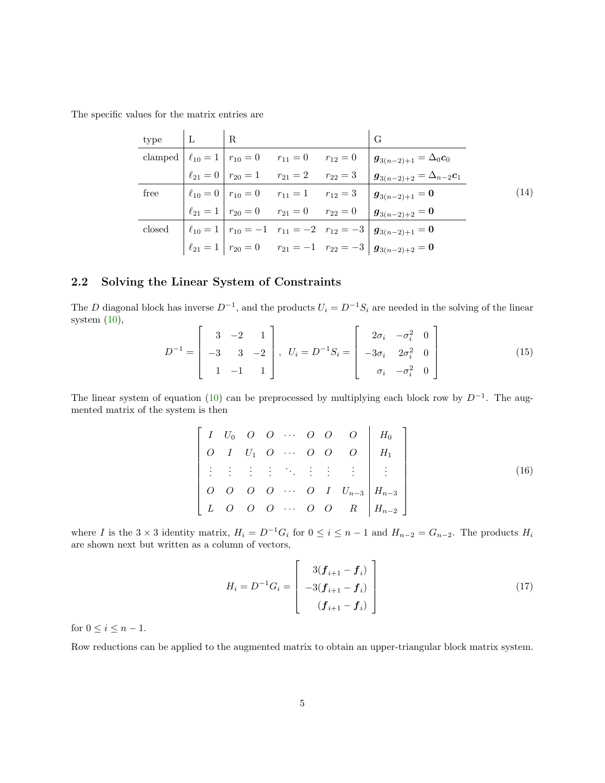The specific values for the matrix entries are

| type   | $\perp$ | $\parallel$ R |                                                          | G                                                                                                                                         |      |
|--------|---------|---------------|----------------------------------------------------------|-------------------------------------------------------------------------------------------------------------------------------------------|------|
|        |         |               |                                                          | clamped $\begin{vmatrix} \ell_{10} = 1 & r_{10} = 0 \\ r_{10} = 0 & r_{11} = 0 \\ r_{12} = 0 & g_{3(n-2)+1} = \Delta_0 c_0 \end{vmatrix}$ |      |
|        |         |               | $\ell_{21} = 0$   $r_{20} = 1$ $r_{21} = 2$ $r_{22} = 3$ | $g_{3(n-2)+2} = \Delta_{n-2} c_1$                                                                                                         |      |
| free   |         |               | $\ell_{10} = 0$   $r_{10} = 0$ $r_{11} = 1$ $r_{12} = 3$ | $g_{3(n-2)+1}=0$                                                                                                                          | (14) |
|        |         |               |                                                          | $\ell_{21} = 1   r_{20} = 0$ $r_{21} = 0$ $r_{22} = 0   g_{3(n-2)+2} = 0$                                                                 |      |
| $\csc$ |         |               |                                                          | $\left  \ell_{10} = 1 \right  r_{10} = -1 \quad r_{11} = -2 \quad r_{12} = -3 \left  \mathbf{g}_{3(n-2)+1} = \mathbf{0} \right $          |      |
|        |         |               |                                                          | $\ell_{21} = 1 \begin{vmatrix} r_{20} = 0 & r_{21} = -1 & r_{22} = -3 \end{vmatrix}$ $g_{3(n-2)+2} = 0$                                   |      |

### <span id="page-4-0"></span>2.2 Solving the Linear System of Constraints

The D diagonal block has inverse  $D^{-1}$ , and the products  $U_i = D^{-1}S_i$  are needed in the solving of the linear system [\(10\)](#page-3-2),

$$
D^{-1} = \begin{bmatrix} 3 & -2 & 1 \\ -3 & 3 & -2 \\ 1 & -1 & 1 \end{bmatrix}, \quad U_i = D^{-1}S_i = \begin{bmatrix} 2\sigma_i & -\sigma_i^2 & 0 \\ -3\sigma_i & 2\sigma_i^2 & 0 \\ \sigma_i & -\sigma_i^2 & 0 \end{bmatrix}
$$
(15)

The linear system of equation [\(10\)](#page-3-2) can be preprocessed by multiplying each block row by  $D^{-1}$ . The augmented matrix of the system is then

$$
\begin{bmatrix} I & U_0 & O & O & \cdots & O & O & O \\ O & I & U_1 & O & \cdots & O & O & O \\ \vdots & \vdots & \vdots & \vdots & \ddots & \vdots & \vdots & \vdots \\ O & O & O & O & \cdots & O & I & U_{n-3} \\ L & O & O & O & \cdots & O & O & R & H_{n-2} \end{bmatrix} \xrightarrow{H_0} (16)
$$

where I is the 3 × 3 identity matrix,  $H_i = D^{-1}G_i$  for  $0 \le i \le n-1$  and  $H_{n-2} = G_{n-2}$ . The products  $H_i$ are shown next but written as a column of vectors,

$$
H_i = D^{-1}G_i = \begin{bmatrix} 3(\boldsymbol{f}_{i+1} - \boldsymbol{f}_i) \\ -3(\boldsymbol{f}_{i+1} - \boldsymbol{f}_i) \\ (\boldsymbol{f}_{i+1} - \boldsymbol{f}_i) \end{bmatrix}
$$
(17)

for  $0 \leq i \leq n-1$ .

Row reductions can be applied to the augmented matrix to obtain an upper-triangular block matrix system.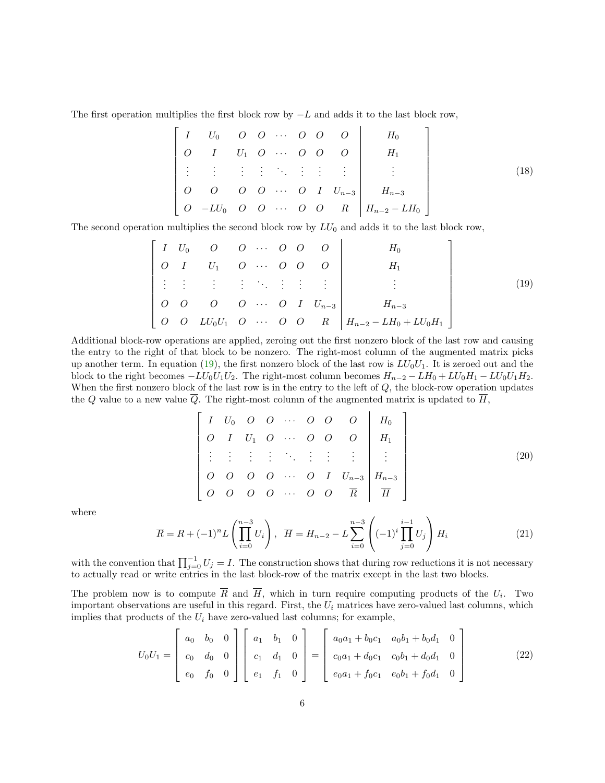The first operation multiplies the first block row by  $-L$  and adds it to the last block row,

$$
\begin{bmatrix} I & U_0 & O & O & \cdots & O & O & O \\ O & I & U_1 & O & \cdots & O & O & O \\ \vdots & \vdots & \vdots & \vdots & \ddots & \vdots & \vdots & \vdots \\ O & O & O & O & \cdots & O & I & U_{n-3} \\ O & -LU_0 & O & O & \cdots & O & O & R \end{bmatrix} \begin{bmatrix} H_0 \\ H_1 \\ \vdots \\ H_{n-3} \\ H_{n-2} - LH_0 \end{bmatrix}
$$
 (18)

The second operation multiplies the second block row by  $LU_0$  and adds it to the last block row,

<span id="page-5-0"></span>
$$
\begin{bmatrix} I & U_0 & O & O & \cdots & O & O & O \\ O & I & U_1 & O & \cdots & O & O & O \\ \vdots & \vdots & \vdots & \vdots & \ddots & \vdots & \vdots & \vdots \\ O & O & O & O & \cdots & O & I & U_{n-3} \\ O & O & L U_0 U_1 & O & \cdots & O & O & R \end{bmatrix} \begin{bmatrix} H_0 \\ H_1 \\ \vdots \\ H_{n-3} \\ H_{n-2} - L H_0 + L U_0 H_1 \end{bmatrix}
$$
 (19)

Additional block-row operations are applied, zeroing out the first nonzero block of the last row and causing the entry to the right of that block to be nonzero. The right-most column of the augmented matrix picks up another term. In equation [\(19\)](#page-5-0), the first nonzero block of the last row is  $LU_0U_1$ . It is zeroed out and the block to the right becomes  $-LU_0U_1U_2$ . The right-most column becomes  $H_{n-2} - LH_0 + LU_0H_1 - LU_0U_1H_2$ . When the first nonzero block of the last row is in the entry to the left of Q, the block-row operation updates the Q value to a new value  $\overline{Q}$ . The right-most column of the augmented matrix is updated to  $\overline{H}$ ,

<span id="page-5-2"></span>
$$
\begin{bmatrix} I & U_0 & O & O & \cdots & O & O & O \\ O & I & U_1 & O & \cdots & O & O & O \\ \vdots & \vdots & \vdots & \ddots & \vdots & \vdots & \vdots & \vdots \\ O & O & O & O & \cdots & O & I & U_{n-3} \\ O & O & O & O & \cdots & O & O & \overline{R} & \overline{H} \end{bmatrix} \begin{bmatrix} H_0 \\ H_1 \\ \vdots \\ H_{n-3} \\ \hline H \end{bmatrix}
$$
 (20)

where

<span id="page-5-1"></span>
$$
\overline{R} = R + (-1)^n L \left( \prod_{i=0}^{n-3} U_i \right), \quad \overline{H} = H_{n-2} - L \sum_{i=0}^{n-3} \left( (-1)^i \prod_{j=0}^{i-1} U_j \right) H_i \tag{21}
$$

with the convention that  $\prod_{j=0}^{-1} U_j = I$ . The construction shows that during row reductions it is not necessary to actually read or write entries in the last block-row of the matrix except in the last two blocks.

The problem now is to compute R and H, which in turn require computing products of the  $U_i$ . Two important observations are useful in this regard. First, the  $U_i$  matrices have zero-valued last columns, which implies that products of the  ${\cal U}_i$  have zero-valued last columns; for example,

$$
U_0 U_1 = \begin{bmatrix} a_0 & b_0 & 0 \\ c_0 & d_0 & 0 \\ e_0 & f_0 & 0 \end{bmatrix} \begin{bmatrix} a_1 & b_1 & 0 \\ c_1 & d_1 & 0 \\ e_1 & f_1 & 0 \end{bmatrix} = \begin{bmatrix} a_0 a_1 + b_0 c_1 & a_0 b_1 + b_0 d_1 & 0 \\ c_0 a_1 + d_0 c_1 & c_0 b_1 + d_0 d_1 & 0 \\ e_0 a_1 + f_0 c_1 & e_0 b_1 + f_0 d_1 & 0 \end{bmatrix}
$$
(22)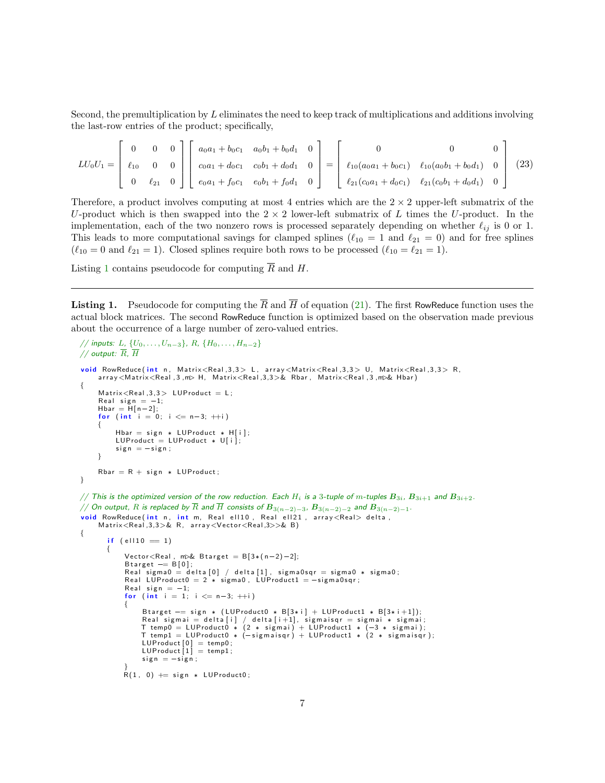Second, the premultiplication by L eliminates the need to keep track of multiplications and additions involving the last-row entries of the product; specifically,

$$
LU_0U_1 = \begin{bmatrix} 0 & 0 & 0 \ t_{10} & 0 & 0 \ 0 & \ell_{21} & 0 \end{bmatrix} \begin{bmatrix} a_0a_1 + b_0c_1 & a_0b_1 + b_0d_1 & 0 \ c_0a_1 + d_0c_1 & c_0b_1 + d_0d_1 & 0 \ e_0a_1 + f_0c_1 & e_0b_1 + f_0d_1 & 0 \end{bmatrix} = \begin{bmatrix} 0 & 0 & 0 \ t_{10}(a_0a_1 + b_0c_1) & \ell_{10}(a_0b_1 + b_0d_1) & 0 \ \ell_{21}(c_0a_1 + d_0c_1) & \ell_{21}(c_0b_1 + d_0d_1) & 0 \end{bmatrix}
$$
(23)

Therefore, a product involves computing at most 4 entries which are the  $2 \times 2$  upper-left submatrix of the U-product which is then swapped into the  $2 \times 2$  lower-left submatrix of L times the U-product. In the implementation, each of the two nonzero rows is processed separately depending on whether  $\ell_{ij}$  is 0 or 1. This leads to more computational savings for clamped splines ( $\ell_{10} = 1$  and  $\ell_{21} = 0$ ) and for free splines  $(\ell_{10} = 0 \text{ and } \ell_{21} = 1)$ . Closed splines require both rows to be processed  $(\ell_{10} = \ell_{21} = 1)$ .

Listing [1](#page-6-0) contains pseudocode for computing  $\overline{R}$  and H.

<span id="page-6-0"></span>**Listing 1.** Pseudocode for computing the  $\overline{R}$  and  $\overline{H}$  of equation [\(21\)](#page-5-1). The first RowReduce function uses the actual block matrices. The second RowReduce function is optimized based on the observation made previous about the occurrence of a large number of zero-valued entries.

```
// inputs: L, \{U_0, \ldots, U_{n-3}\}, R, \{H_0, \ldots, H_{n-2}\}// output: \overline{R}, \overline{H}void RowReduce (int n, Matrix<Real, 3,3> L, array<Matrix<Real, 3,3> U, Matrix<Real, 3,3> R,
      a r r a y < M a t rix < Real , 3, m> H, M a t rix < Real , 3,3>& Rbar, M a t rix < Real , 3, m>& Hbar )
{
      Matrix < Real, 3,3 > LUProduct = L;
      Real sign = -1;
      Hbar = H[n-2];for (int i = 0; i \le n-3; +i)
      {
            Hbar = sign * LUProduct * H[i];LUP roduct = LUP roduct * U[i];
             sign = -sign ;}
      Rbar = R + sign * LUProduct;}
// This is the optimized version of the row reduction. Each H_i is a 3-tuple of m-tuples B_{3i}, B_{3i+1} and B_{3i+2}.
\overline{1}// On output, R is replaced by \overline{R} and \overline{H} consists of \overline{B}_{3(n-2)-3}, \overline{B}_{3(n-2)-2} and \overline{B}_{3(n-2)-1}.
<mark>void</mark> RowReduce(int n, int m, Real ell10, Real ell21, array<Real>delta,<br>Matrix<Real,3,3>& R, array<Vector<Real,3>>& B)
{
          if (e1110 = 1){
                Vector < Real, m& Btarget = B[3*(n-2)-2];Btarget - B[0];<br>Real sigma0 = delta[0] / delta[1], sigma0sqr = sigma0 * sigma0;<br>Real LUProduct0 = 2 * sigma0, LUProduct1 = -sigma0sqr;<br>Real sign = -1;
                for (int i = 1; i \le n-3; +i)
                {
                       Btarget -= sign * (LUProduct0 * B[3*i] + LUProduct1 * B[3*i+1]);<br>Real sigmai = delta[i] / delta[i+1], sigmaisqr = sigmai * sigmai;<br>T temp0 = LUProduct0 * (2 * sigmai) + LUProduct1 * (-3 * sigmai);<br>T temp1 = LUProduct0 * (
                       LUProduct [0]  = temp0;<br>LUProduct [1]  = temp1;
                      sign = -sign ;}<br>R(1, 0) += sign * LUProduct0;
```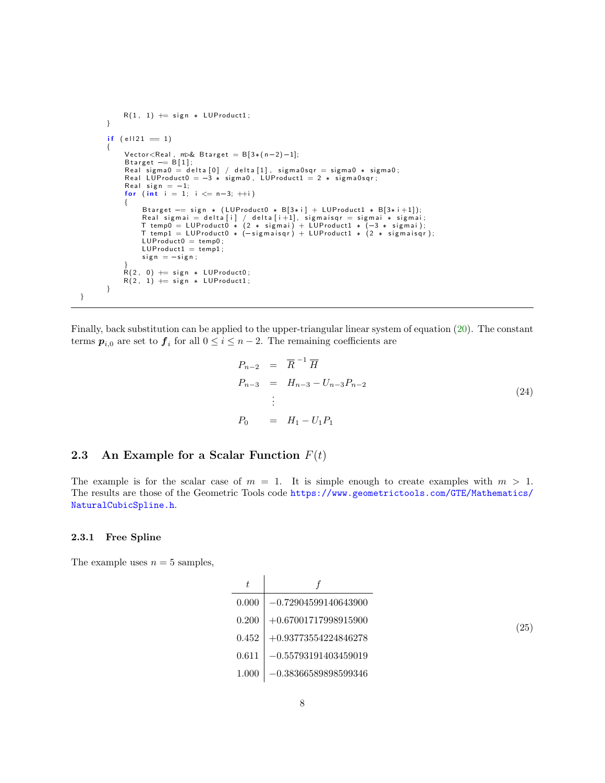```
R(1, 1) \rightleftharpoons sign * LUProduct1;}
           if (e||21 = 1){
                   Vector < Real, m& Btarget = B[3*(n-2)-1];
                   Btarget == B[1];<br>Real sigma0 = delta[0] / delta[1], sigma0sqr = sigma0 * sigma0;<br>Real LUProduct0 = —3 * sigma0, LUProduct1 = 2 * sigma0sqr;
                  Real sign = -1;
                   for (int i = 1; i \le n-3; +i)
                   {
                          Btarget - sign * (LUProduct0 * B[3*i] + LUProduct1 * B[3*i+1]);<br>Real sigmai = delta[i] / delta[i+1], sigmaisqr = sigmai * sigmai;<br>T temp0 = LUProduct0 * (2 * sigmai) + LUProduct1 * (-3 * sigmai);<br>T t
                          LUP roduct0 = temp0;
                          LUP roduct1 = temp1;
                          sign = -sign ;}<br>R(2, 0) += sign * LUProduct0;<br>R(2, 1) += sign * LUProduct1;
           }
}
```
Finally, back substitution can be applied to the upper-triangular linear system of equation [\(20\)](#page-5-2). The constant terms  $p_{i,0}$  are set to  $f_i$  for all  $0 \leq i \leq n-2$ . The remaining coefficients are

$$
P_{n-2} = \overline{R}^{-1} \overline{H}
$$
  
\n
$$
P_{n-3} = H_{n-3} - U_{n-3} P_{n-2}
$$
  
\n
$$
\vdots
$$
  
\n
$$
P_0 = H_1 - U_1 P_1
$$
\n(24)

### <span id="page-7-0"></span>2.3 An Example for a Scalar Function  $F(t)$

The example is for the scalar case of  $m = 1$ . It is simple enough to create examples with  $m > 1$ . The results are those of the Geometric Tools code [https://www.geometrictools.com/GTE/Mathematics/](https://www.geometrictools.com/GTE/Mathematics/NaturalCubicSpline.h) [NaturalCubicSpline.h](https://www.geometrictools.com/GTE/Mathematics/NaturalCubicSpline.h).

#### <span id="page-7-1"></span>2.3.1 Free Spline

The example uses  $n = 5$  samples,

<span id="page-7-2"></span>

| 0.000 | $-0.72904599140643900$ |
|-------|------------------------|
| 0.200 | $+0.67001717998915900$ |
| 0.452 | $+0.93773554224846278$ |
| 0.611 | $-0.55793191403459019$ |
| 1.000 | $-0.38366589898599346$ |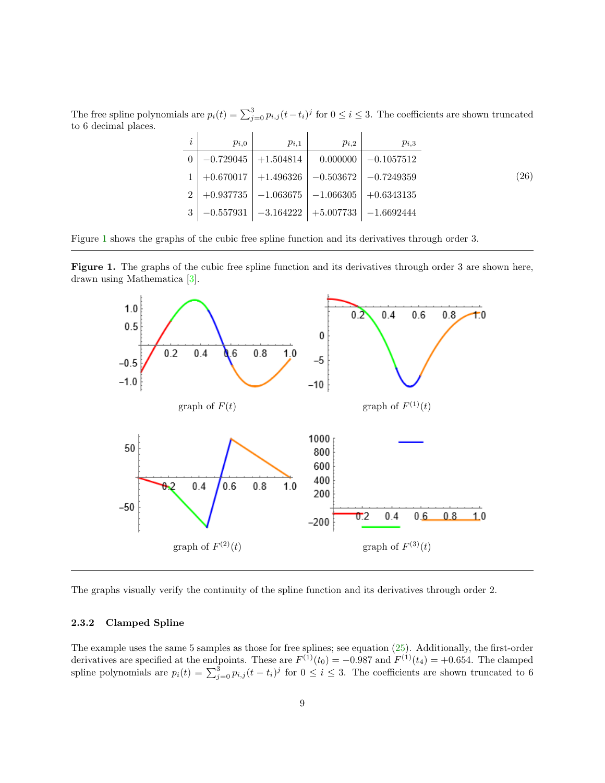The free spline polynomials are  $p_i(t) = \sum_{j=0}^{3} p_{i,j}(t-t_i)^j$  for  $0 \le i \le 3$ . The coefficients are shown truncated to 6 decimal places.

| I, | $p_{i,0}$ | $p_{i,1}$                 | $p_{i,2}$ | $p_{i,3}$                                              |      |
|----|-----------|---------------------------|-----------|--------------------------------------------------------|------|
|    |           | $-0.729045$   $+1.504814$ | 0.000000  | $-0.1057512$                                           |      |
|    |           |                           |           | $+0.670017$   $+1.496326$   $-0.503672$   $-0.7249359$ | (26) |
|    |           |                           |           | $+0.937735$   $-1.063675$   $-1.066305$   $+0.6343135$ |      |
|    |           |                           |           | $-0.557931$   $-3.164222$   $+5.007733$   $-1.6692444$ |      |

Figure [1](#page-8-1) shows the graphs of the cubic free spline function and its derivatives through order 3.

<span id="page-8-1"></span>



The graphs visually verify the continuity of the spline function and its derivatives through order 2.

#### <span id="page-8-0"></span>2.3.2 Clamped Spline

The example uses the same 5 samples as those for free splines; see equation [\(25\)](#page-7-2). Additionally, the first-order derivatives are specified at the endpoints. These are  $F^{(1)}(t_0) = -0.987$  and  $F^{(1)}(t_4) = +0.654$ . The clamped spline polynomials are  $p_i(t) = \sum_{j=0}^{3} p_{i,j} (t-t_i)^j$  for  $0 \le i \le 3$ . The coefficients are shown truncated to 6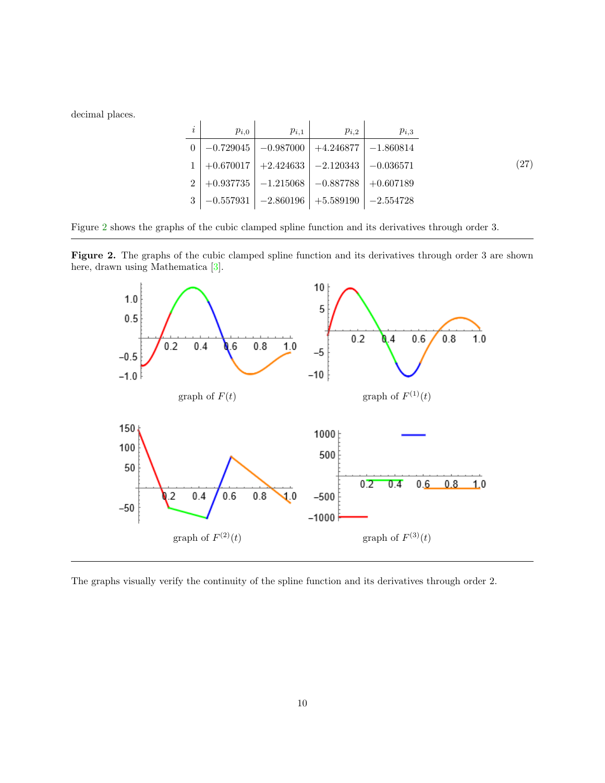decimal places.

| $\dot{i}$                   | $p_{i,0}$ | $p_{i,1}$ | $p_{i,2}$                                             | $p_{i,3}$   |
|-----------------------------|-----------|-----------|-------------------------------------------------------|-------------|
| $\Omega$                    |           |           | $-0.729045$   $-0.987000$   $+4.246877$   $-1.860814$ |             |
|                             |           |           | $+0.670017$   $+2.424633$   $-2.120343$               | $-0.036571$ |
| $\mathcal{D}_{\mathcal{L}}$ |           |           | $+0.937735$   $-1.215068$   $-0.887788$   $+0.607189$ |             |
|                             |           |           | $-0.557931$   $-2.860196$   $+5.589190$   $-2.554728$ |             |

Figure [2](#page-9-0) shows the graphs of the cubic clamped spline function and its derivatives through order 3.

<span id="page-9-0"></span>



The graphs visually verify the continuity of the spline function and its derivatives through order 2.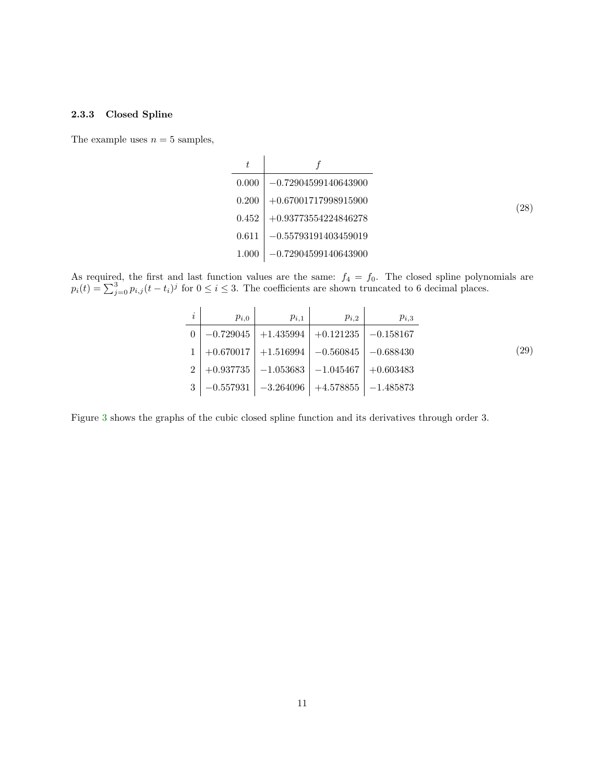### <span id="page-10-0"></span>2.3.3 Closed Spline

The example uses  $n = 5$  samples,

| t     |                        |
|-------|------------------------|
| 0.000 | $-0.72904599140643900$ |
| 0.200 | $+0.67001717998915900$ |
| 0.452 | $+0.93773554224846278$ |
| 0.611 | $-0.55793191403459019$ |
| 1.000 | $-0.72904599140643900$ |

As required, the first and last function values are the same:  $f_4 = f_0$ . The closed spline polynomials are  $p_i(t) = \sum_{j=0}^{3} p_{i,j}(t-t_i)^j$  for  $0 \le i \le 3$ . The coefficients are shown truncated to 6 decimal places.

| $\imath$       | $p_{i,0}$   | $p_{i,1}$                                             | $p_{i,2}$                               | $p_{i,3}$   |
|----------------|-------------|-------------------------------------------------------|-----------------------------------------|-------------|
| $\Omega$       |             | $-0.729045$   $+1.435994$   $+0.121235$   $-0.158167$ |                                         |             |
|                |             | $+0.670017$   $+1.516994$   $-0.560845$               |                                         | $-0.688430$ |
| $\overline{2}$ |             | $+0.937735$   $-1.053683$   $-1.045467$               |                                         | $+0.603483$ |
| 3              | $-0.557931$ |                                                       | $-3.264096$   $+4.578855$   $-1.485873$ |             |

Figure [3](#page-11-1) shows the graphs of the cubic closed spline function and its derivatives through order 3.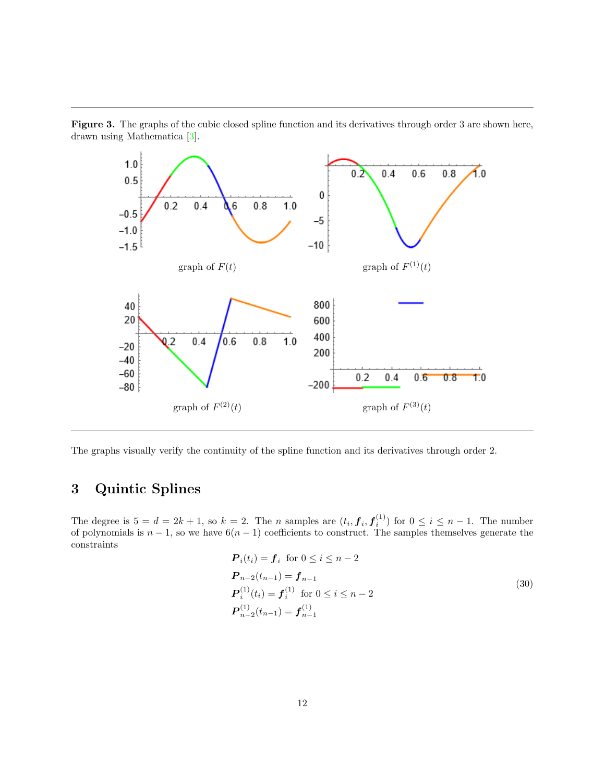

<span id="page-11-1"></span>Figure 3. The graphs of the cubic closed spline function and its derivatives through order 3 are shown here, drawn using Mathematica [\[3\]](#page-23-2).

The graphs visually verify the continuity of the spline function and its derivatives through order 2.

# <span id="page-11-0"></span>3 Quintic Splines

The degree is  $5 = d = 2k + 1$ , so  $k = 2$ . The *n* samples are  $(t_i, f_i, f_i^{(1)})$  for  $0 \le i \le n - 1$ . The number of polynomials is  $n-1$ , so we have  $6(n-1)$  coefficients to construct. The samples themselves generate the constraints

<span id="page-11-2"></span>
$$
P_i(t_i) = f_i \text{ for } 0 \le i \le n-2
$$
  
\n
$$
P_{n-2}(t_{n-1}) = f_{n-1}
$$
  
\n
$$
P_i^{(1)}(t_i) = f_i^{(1)} \text{ for } 0 \le i \le n-2
$$
  
\n
$$
P_{n-2}^{(1)}(t_{n-1}) = f_{n-1}^{(1)}
$$
\n(30)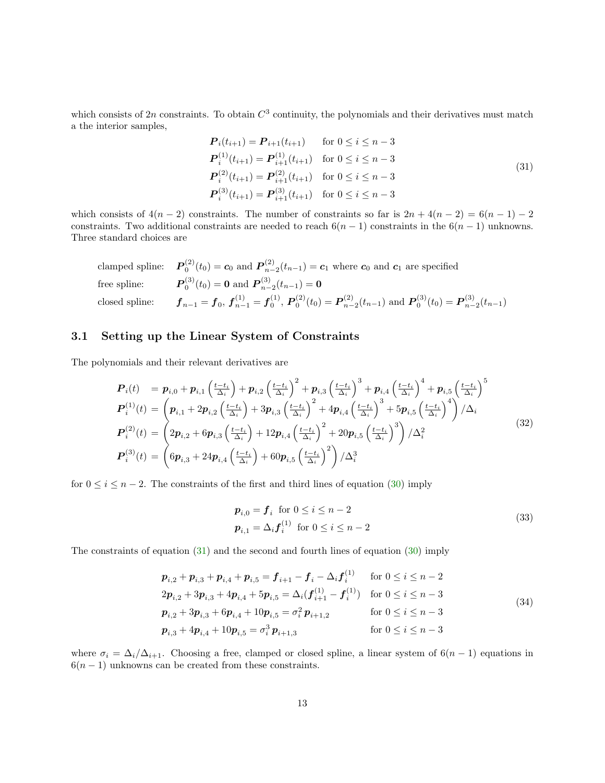which consists of 2n constraints. To obtain  $C^3$  continuity, the polynomials and their derivatives must match a the interior samples,

<span id="page-12-1"></span>
$$
\begin{aligned}\n\mathbf{P}_{i}(t_{i+1}) &= \mathbf{P}_{i+1}(t_{i+1}) & \text{for } 0 \leq i \leq n-3 \\
\mathbf{P}_{i}^{(1)}(t_{i+1}) &= \mathbf{P}_{i+1}^{(1)}(t_{i+1}) & \text{for } 0 \leq i \leq n-3 \\
\mathbf{P}_{i}^{(2)}(t_{i+1}) &= \mathbf{P}_{i+1}^{(2)}(t_{i+1}) & \text{for } 0 \leq i \leq n-3 \\
\mathbf{P}_{i}^{(3)}(t_{i+1}) &= \mathbf{P}_{i+1}^{(3)}(t_{i+1}) & \text{for } 0 \leq i \leq n-3\n\end{aligned} \tag{31}
$$

which consists of  $4(n-2)$  constraints. The number of constraints so far is  $2n + 4(n-2) = 6(n-1) - 2$ constraints. Two additional constraints are needed to reach  $6(n - 1)$  constraints in the  $6(n - 1)$  unknowns. Three standard choices are

clamped spline: 
$$
\mathbf{P}_0^{(2)}(t_0) = \mathbf{c}_0
$$
 and  $\mathbf{P}_{n-2}^{(2)}(t_{n-1}) = \mathbf{c}_1$  where  $\mathbf{c}_0$  and  $\mathbf{c}_1$  are specified  
free spline:  $\mathbf{P}_0^{(3)}(t_0) = \mathbf{0}$  and  $\mathbf{P}_{n-2}^{(3)}(t_{n-1}) = \mathbf{0}$   
closed spline:  $\mathbf{f}_{n-1} = \mathbf{f}_0$ ,  $\mathbf{f}_{n-1}^{(1)} = \mathbf{f}_0^{(1)}$ ,  $\mathbf{P}_0^{(2)}(t_0) = \mathbf{P}_{n-2}^{(2)}(t_{n-1})$  and  $\mathbf{P}_0^{(3)}(t_0) = \mathbf{P}_{n-2}^{(3)}(t_{n-1})$ 

### <span id="page-12-0"></span>3.1 Setting up the Linear System of Constraints

The polynomials and their relevant derivatives are

$$
\begin{split}\n\mathbf{P}_{i}(t) &= \mathbf{p}_{i,0} + \mathbf{p}_{i,1} \left( \frac{t - t_{i}}{\Delta_{i}} \right) + \mathbf{p}_{i,2} \left( \frac{t - t_{i}}{\Delta_{i}} \right)^{2} + \mathbf{p}_{i,3} \left( \frac{t - t_{i}}{\Delta_{i}} \right)^{3} + \mathbf{p}_{i,4} \left( \frac{t - t_{i}}{\Delta_{i}} \right)^{4} + \mathbf{p}_{i,5} \left( \frac{t - t_{i}}{\Delta_{i}} \right)^{5} \\
\mathbf{P}_{i}^{(1)}(t) &= \left( \mathbf{p}_{i,1} + 2\mathbf{p}_{i,2} \left( \frac{t - t_{i}}{\Delta_{i}} \right) + 3\mathbf{p}_{i,3} \left( \frac{t - t_{i}}{\Delta_{i}} \right)^{2} + 4\mathbf{p}_{i,4} \left( \frac{t - t_{i}}{\Delta_{i}} \right)^{3} + 5\mathbf{p}_{i,5} \left( \frac{t - t_{i}}{\Delta_{i}} \right)^{4} \right) / \Delta_{i} \\
\mathbf{P}_{i}^{(2)}(t) &= \left( 2\mathbf{p}_{i,2} + 6\mathbf{p}_{i,3} \left( \frac{t - t_{i}}{\Delta_{i}} \right) + 12\mathbf{p}_{i,4} \left( \frac{t - t_{i}}{\Delta_{i}} \right)^{2} + 20\mathbf{p}_{i,5} \left( \frac{t - t_{i}}{\Delta_{i}} \right)^{3} \right) / \Delta_{i}^{2} \\
\mathbf{P}_{i}^{(3)}(t) &= \left( 6\mathbf{p}_{i,3} + 24\mathbf{p}_{i,4} \left( \frac{t - t_{i}}{\Delta_{i}} \right) + 60\mathbf{p}_{i,5} \left( \frac{t - t_{i}}{\Delta_{i}} \right)^{2} \right) / \Delta_{i}^{3}\n\end{split} \tag{32}
$$

for  $0 \le i \le n-2$ . The constraints of the first and third lines of equation [\(30\)](#page-11-2) imply

<span id="page-12-2"></span>
$$
\begin{aligned} \mathbf{p}_{i,0} &= \mathbf{f}_i \quad \text{for } 0 \le i \le n-2\\ \mathbf{p}_{i,1} &= \Delta_i \mathbf{f}_i^{(1)} \quad \text{for } 0 \le i \le n-2 \end{aligned} \tag{33}
$$

The constraints of equation [\(31\)](#page-12-1) and the second and fourth lines of equation [\(30\)](#page-11-2) imply

<span id="page-12-3"></span>
$$
p_{i,2} + p_{i,3} + p_{i,4} + p_{i,5} = f_{i+1} - f_i - \Delta_i f_i^{(1)} \quad \text{for } 0 \le i \le n-2
$$
  
\n
$$
2p_{i,2} + 3p_{i,3} + 4p_{i,4} + 5p_{i,5} = \Delta_i (f_{i+1}^{(1)} - f_i^{(1)}) \quad \text{for } 0 \le i \le n-3
$$
  
\n
$$
p_{i,2} + 3p_{i,3} + 6p_{i,4} + 10p_{i,5} = \sigma_i^2 p_{i+1,2} \quad \text{for } 0 \le i \le n-3
$$
  
\n
$$
p_{i,3} + 4p_{i,4} + 10p_{i,5} = \sigma_i^3 p_{i+1,3} \quad \text{for } 0 \le i \le n-3
$$
  
\n(34)

where  $\sigma_i = \Delta_i/\Delta_{i+1}$ . Choosing a free, clamped or closed spline, a linear system of 6(n – 1) equations in  $6(n-1)$  unknowns can be created from these constraints.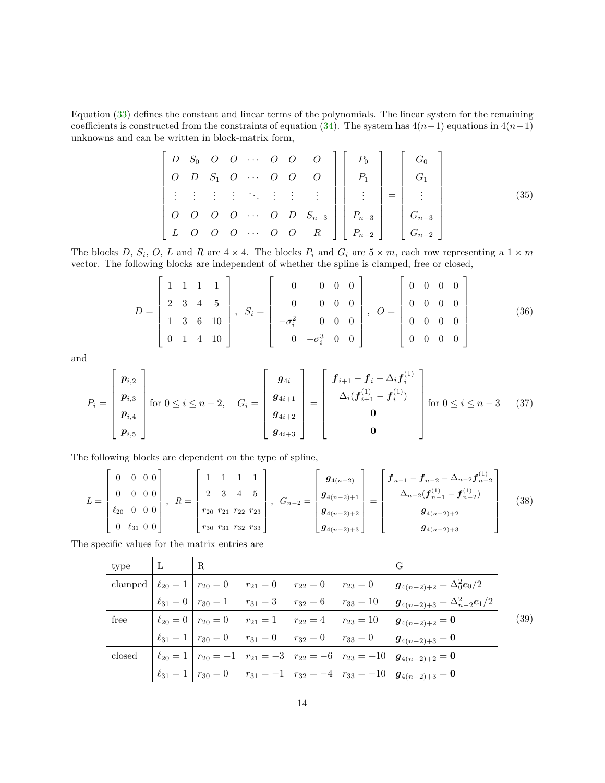Equation [\(33\)](#page-12-2) defines the constant and linear terms of the polynomials. The linear system for the remaining coefficients is constructed from the constraints of equation [\(34\)](#page-12-3). The system has  $4(n-1)$  equations in  $4(n-1)$ unknowns and can be written in block-matrix form,

<span id="page-13-0"></span>
$$
\begin{bmatrix}\nD & S_0 & O & O & \cdots & O & O & O \\
O & D & S_1 & O & \cdots & O & O & O \\
\vdots & \vdots & \vdots & \vdots & \ddots & \vdots & \vdots & \vdots \\
O & O & O & O & \cdots & O & D & S_{n-3} \\
L & O & O & O & \cdots & O & O & R\n\end{bmatrix}\n\begin{bmatrix}\nP_0 \\
P_1 \\
\vdots \\
P_{n-3} \\
P_{n-2}\n\end{bmatrix} =\n\begin{bmatrix}\nG_0 \\
G_1 \\
\vdots \\
G_{n-3} \\
G_{n-2}\n\end{bmatrix}
$$
\n(35)

The blocks D,  $S_i$ , O, L and R are  $4 \times 4$ . The blocks  $P_i$  and  $G_i$  are  $5 \times m$ , each row representing a  $1 \times m$ vector. The following blocks are independent of whether the spline is clamped, free or closed,

$$
D = \begin{bmatrix} 1 & 1 & 1 & 1 \\ 2 & 3 & 4 & 5 \\ 1 & 3 & 6 & 10 \\ 0 & 1 & 4 & 10 \end{bmatrix}, S_i = \begin{bmatrix} 0 & 0 & 0 & 0 \\ 0 & 0 & 0 & 0 \\ -\sigma_i^2 & 0 & 0 & 0 \\ 0 & -\sigma_i^3 & 0 & 0 \end{bmatrix}, O = \begin{bmatrix} 0 & 0 & 0 & 0 \\ 0 & 0 & 0 & 0 \\ 0 & 0 & 0 & 0 \\ 0 & 0 & 0 & 0 \end{bmatrix}
$$
(36)

and

$$
P_{i} = \begin{bmatrix} p_{i,2} \\ p_{i,3} \\ p_{i,4} \\ p_{i,5} \end{bmatrix} \text{ for } 0 \leq i \leq n-2, \quad G_{i} = \begin{bmatrix} g_{4i} \\ g_{4i+1} \\ g_{4i+2} \\ g_{4i+3} \end{bmatrix} = \begin{bmatrix} f_{i+1} - f_{i} - \Delta_{i} f_{i}^{(1)} \\ \Delta_{i} (f_{i+1}^{(1)} - f_{i}^{(1)}) \\ 0 \\ 0 \end{bmatrix} \text{ for } 0 \leq i \leq n-3 \quad (37)
$$

The following blocks are dependent on the type of spline,

$$
L = \begin{bmatrix} 0 & 0 & 0 & 0 \\ 0 & 0 & 0 & 0 \\ \ell_{20} & 0 & 0 & 0 \\ 0 & \ell_{31} & 0 & 0 \end{bmatrix}, \quad R = \begin{bmatrix} 1 & 1 & 1 & 1 \\ 2 & 3 & 4 & 5 \\ r_{20} & r_{21} & r_{22} & r_{23} \\ r_{30} & r_{31} & r_{32} & r_{33} \end{bmatrix}, \quad G_{n-2} = \begin{bmatrix} g_{4(n-2)} \\ g_{4(n-2)+1} \\ g_{4(n-2)+2} \\ g_{4(n-2)+3} \end{bmatrix} = \begin{bmatrix} f_{n-1} - f_{n-2} - \Delta_{n-2} f_{n-2}^{(1)} \\ \Delta_{n-2} (f_{n-1}^{(1)} - f_{n-2}^{(1)}) \\ g_{4(n-2)+3} \end{bmatrix}
$$
(38)

The specific values for the matrix entries are

| type $ L $ $ R $ |  |                                                                                  |  | G                                                                                                        |      |
|------------------|--|----------------------------------------------------------------------------------|--|----------------------------------------------------------------------------------------------------------|------|
|                  |  | clamped $\ell_{20} = 1 \rvert r_{20} = 0$ $r_{21} = 0$ $r_{22} = 0$ $r_{23} = 0$ |  | $\mathbf{g}_{4(n-2)+2}=\Delta_{0}^{2}\bm{c}_{0}/2\;.$                                                    |      |
|                  |  | $\ell_{31} = 0$ $r_{30} = 1$ $r_{31} = 3$ $r_{32} = 6$ $r_{33} = 10$             |  | $\bm{g}_{4(n-2)+3} = \Delta_{n-2}^2 \bm{c}_1/2$                                                          |      |
| free             |  | $\ell_{20} = 0$   $r_{20} = 0$ $r_{21} = 1$ $r_{22} = 4$ $r_{23} = 10$           |  | $\mid \boldsymbol{g}_{4(n-2)+2}=\boldsymbol{0} \mid$                                                     | (39) |
|                  |  | $\ell_{31} = 1 \rvert r_{30} = 0$ $r_{31} = 0$ $r_{32} = 0$ $r_{33} = 0$         |  | $\boldsymbol g_{4(n-2)+3} = \boldsymbol 0$                                                               |      |
| $\csc$           |  |                                                                                  |  | $\left  \ell_{20} = 1 \right  r_{20} = -1$ $r_{21} = -3$ $r_{22} = -6$ $r_{23} = -10$ $g_{4(n-2)+2} = 0$ |      |
|                  |  |                                                                                  |  | $r_{31} = 1   r_{30} = 0$ $r_{31} = -1$ $r_{32} = -4$ $r_{33} = -10   g_{4(n-2)+3} = 0$                  |      |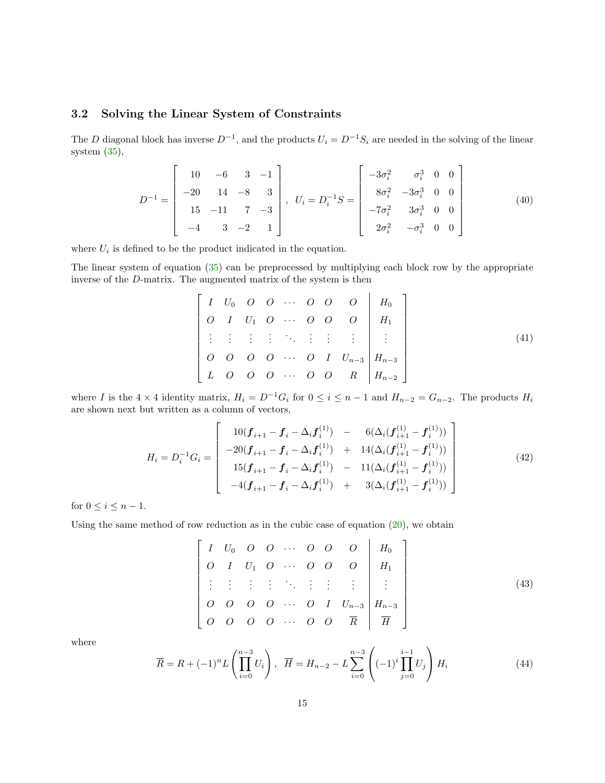### <span id="page-14-0"></span>3.2 Solving the Linear System of Constraints

The D diagonal block has inverse  $D^{-1}$ , and the products  $U_i = D^{-1}S_i$  are needed in the solving of the linear system [\(35\)](#page-13-0),

$$
D^{-1} = \begin{bmatrix} 10 & -6 & 3 & -1 \\ -20 & 14 & -8 & 3 \\ 15 & -11 & 7 & -3 \\ -4 & 3 & -2 & 1 \end{bmatrix}, \quad U_i = D_i^{-1}S = \begin{bmatrix} -3\sigma_i^2 & \sigma_i^3 & 0 & 0 \\ 8\sigma_i^2 & -3\sigma_i^3 & 0 & 0 \\ -7\sigma_i^2 & 3\sigma_i^3 & 0 & 0 \\ 2\sigma_i^2 & -\sigma_i^3 & 0 & 0 \end{bmatrix}
$$
(40)

where  $U_i$  is defined to be the product indicated in the equation.

The linear system of equation [\(35\)](#page-13-0) can be preprocessed by multiplying each block row by the appropriate inverse of the D-matrix. The augmented matrix of the system is then

$$
\begin{bmatrix} I & U_0 & O & O & \cdots & O & O & O \\ O & I & U_1 & O & \cdots & O & O & O & H_1 \\ \vdots & \vdots & \vdots & \vdots & \ddots & \vdots & \vdots & \vdots & \vdots \\ O & O & O & O & \cdots & O & I & U_{n-3} \\ L & O & O & O & \cdots & O & O & R & H_{n-2} \end{bmatrix}
$$
\n(41)

where I is the  $4 \times 4$  identity matrix,  $H_i = D^{-1}G_i$  for  $0 \le i \le n-1$  and  $H_{n-2} = G_{n-2}$ . The products  $H_i$ are shown next but written as a column of vectors,

$$
H_{i} = D_{i}^{-1}G_{i} = \begin{bmatrix} 10(\boldsymbol{f}_{i+1} - \boldsymbol{f}_{i} - \Delta_{i} \boldsymbol{f}_{i}^{(1)}) & - & 6(\Delta_{i}(\boldsymbol{f}_{i+1}^{(1)} - \boldsymbol{f}_{i}^{(1)})) \\ -20(\boldsymbol{f}_{i+1} - \boldsymbol{f}_{i} - \Delta_{i} \boldsymbol{f}_{i}^{(1)}) & + & 14(\Delta_{i}(\boldsymbol{f}_{i+1}^{(1)} - \boldsymbol{f}_{i}^{(1)})) \\ 15(\boldsymbol{f}_{i+1} - \boldsymbol{f}_{i} - \Delta_{i} \boldsymbol{f}_{i}^{(1)}) & - & 11(\Delta_{i}(\boldsymbol{f}_{i+1}^{(1)} - \boldsymbol{f}_{i}^{(1)})) \\ -4(\boldsymbol{f}_{i+1} - \boldsymbol{f}_{i} - \Delta_{i} \boldsymbol{f}_{i}^{(1)}) & + & 3(\Delta_{i}(\boldsymbol{f}_{i+1}^{(1)} - \boldsymbol{f}_{i}^{(1)})) \end{bmatrix} \tag{42}
$$

for  $0 \leq i \leq n-1$ .

Using the same method of row reduction as in the cubic case of equation  $(20)$ , we obtain

<span id="page-14-2"></span>
$$
\begin{bmatrix} I & U_0 & O & O & \cdots & O & O & O \\ O & I & U_1 & O & \cdots & O & O & O \\ \vdots & \vdots & \vdots & \vdots & \ddots & \vdots & \vdots & \vdots \\ O & O & O & O & \cdots & O & I & U_{n-3} \\ O & O & O & O & \cdots & O & O & \overline{R} & \overline{H} \end{bmatrix} \xrightarrow{H_0} (43)
$$

where

<span id="page-14-1"></span>
$$
\overline{R} = R + (-1)^n L \left( \prod_{i=0}^{n-3} U_i \right), \quad \overline{H} = H_{n-2} - L \sum_{i=0}^{n-3} \left( (-1)^i \prod_{j=0}^{i-1} U_j \right) H_i \tag{44}
$$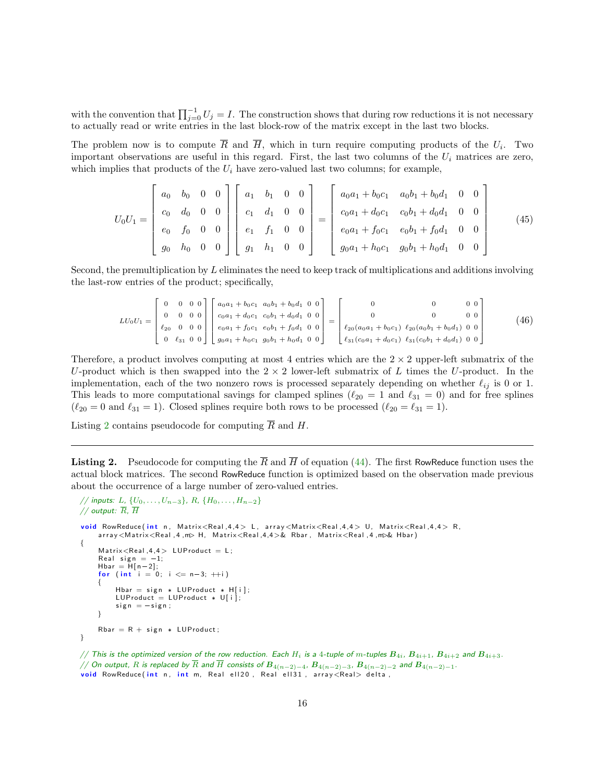with the convention that  $\prod_{j=0}^{-1} U_j = I$ . The construction shows that during row reductions it is not necessary to actually read or write entries in the last block-row of the matrix except in the last two blocks.

The problem now is to compute R and H, which in turn require computing products of the  $U_i$ . Two important observations are useful in this regard. First, the last two columns of the  $U_i$  matrices are zero, which implies that products of the  $U_i$  have zero-valued last two columns; for example,

$$
U_0U_1 = \begin{bmatrix} a_0 & b_0 & 0 & 0 \\ c_0 & d_0 & 0 & 0 \\ e_0 & f_0 & 0 & 0 \\ g_0 & h_0 & 0 & 0 \end{bmatrix} \begin{bmatrix} a_1 & b_1 & 0 & 0 \\ c_1 & d_1 & 0 & 0 \\ e_1 & f_1 & 0 & 0 \\ g_1 & h_1 & 0 & 0 \end{bmatrix} = \begin{bmatrix} a_0a_1 + b_0c_1 & a_0b_1 + b_0d_1 & 0 & 0 \\ c_0a_1 + d_0c_1 & c_0b_1 + d_0d_1 & 0 & 0 \\ e_0a_1 + f_0c_1 & e_0b_1 + f_0d_1 & 0 & 0 \\ g_0a_1 + h_0c_1 & g_0b_1 + h_0d_1 & 0 & 0 \end{bmatrix}
$$
(45)

Second, the premultiplication by L eliminates the need to keep track of multiplications and additions involving the last-row entries of the product; specifically,

$$
LU_0U_1 = \begin{bmatrix} 0 & 0 & 0 & 0 \\ 0 & 0 & 0 & 0 \\ \ell_{20} & 0 & 0 & 0 \\ 0 & \ell_{31} & 0 & 0 \end{bmatrix} \begin{bmatrix} a_0a_1 + b_0c_1 & a_0b_1 + b_0d_1 & 0 & 0 \\ c_0a_1 + d_0c_1 & c_0b_1 + d_0d_1 & 0 & 0 \\ e_0a_1 + f_0c_1 & e_0b_1 + f_0d_1 & 0 & 0 \\ g_0a_1 + h_0c_1 & g_0b_1 + h_0d_1 & 0 & 0 \end{bmatrix} = \begin{bmatrix} 0 & 0 & 0 & 0 \\ 0 & 0 & 0 & 0 \\ \ell_{20}(a_0a_1 + b_0c_1) & \ell_{20}(a_0b_1 + b_0d_1) & 0 & 0 \\ \ell_{31}(c_0a_1 + d_0c_1) & \ell_{31}(c_0b_1 + d_0d_1) & 0 & 0 \end{bmatrix}
$$
(46)

Therefore, a product involves computing at most 4 entries which are the  $2 \times 2$  upper-left submatrix of the U-product which is then swapped into the  $2 \times 2$  lower-left submatrix of L times the U-product. In the implementation, each of the two nonzero rows is processed separately depending on whether  $\ell_{ij}$  is 0 or 1. This leads to more computational savings for clamped splines ( $\ell_{20} = 1$  and  $\ell_{31} = 0$ ) and for free splines  $(\ell_{20} = 0 \text{ and } \ell_{31} = 1)$ . Closed splines require both rows to be processed  $(\ell_{20} = \ell_{31} = 1)$ .

Listing [2](#page-15-0) contains pseudocode for computing  $\overline{R}$  and H.

<span id="page-15-0"></span>**Listing 2.** Pseudocode for computing the  $\overline{R}$  and  $\overline{H}$  of equation [\(44\)](#page-14-1). The first RowReduce function uses the actual block matrices. The second RowReduce function is optimized based on the observation made previous about the occurrence of a large number of zero-valued entries.

```
// inputs: L, \{U_0, \ldots, U_{n-3}\}, R, \{H_0, \ldots, H_{n-2}\}// output: \overline{R}, \overline{H}void RowReduce (int n, Matrix<Real,4,4> L, array<Matrix<Real,4,4> U, Matrix<Real,4,4> R,
     array<Matrix<Real, 4, m> H, Matrix<Real, 4, 4>& Rbar, Matrix<Real, 4, m>& Hbar)
{
     Matrix < Real, 4, 4> LUProduct = L;
     Real sign = -1;
     Hbar = H[n-2];
     for (int i = 0; i \le n-3; ++i)
     {
          Hbar = sign * LUProduct * H[i];<br>LUProduct = LUProduct * U[i];
          sign = -sign ;}
     Rbar = R + sign * LUProduct;}
```
// This is the optimized version of the row reduction. Each  $H_i$  is a 4-tuple of m-tuples  $B_{4i}$ ,  $B_{4i+1}$ ,  $B_{4i+2}$  and  $B_{4i+3}$ . // On output, R is replaced by  $\overline{R}$  and  $\overline{H}$  consists of  $B_{4(n-2)-4}$ ,  $B_{4(n-2)-3}$ ,  $B_{4(n-2)-2}$  and  $B_{4(n-2)-1}$ . void RowReduce (int n, int m, Real ell20, Real ell31, array<Real> delta,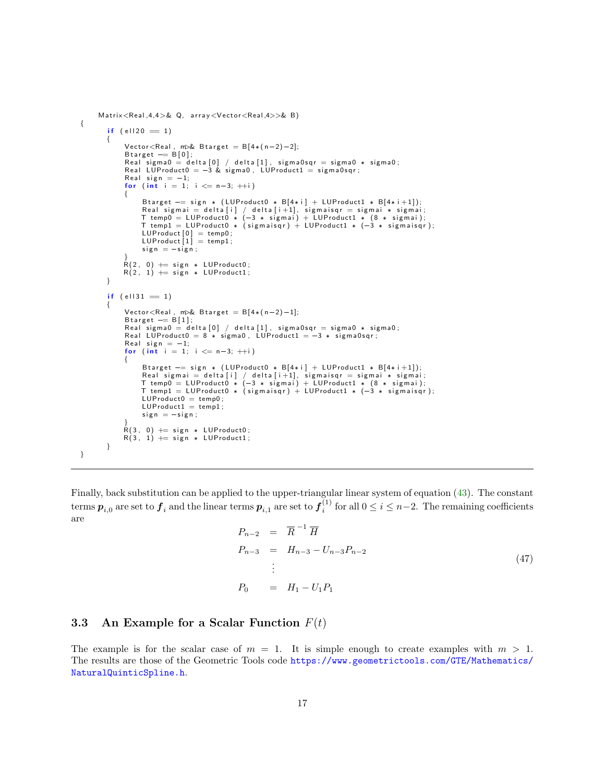```
Matrix<Real, 4,4>& Q, array<Vector<Real, 4>>& B)
{
         if (e1120 = 1){
               Vector < Real, m\& B target = B[4*(n-2)-2];
               Btarget == B[0];<br>Real sigma0 = delta[0] / delta[1], sigma0sqr = sigma0 * sigma0;
               Real LUP roduct 0 = -3 & sigma0, LUP roduct 1 = sigma0sqr;
               Real sign = -1;
              for (int i = 1; i \le n-3; +i)
               {
                     B t a r g e t == sign * (LUP roduct0 * B [4 * i ] + LUP roduct1 * B [4 * i + 1]);
                     Real sigmai = delta [i] / delta [i+1], sigmaisqr = sigmai * sigmai;<br>T temp0 = LUProduct0 * (-3 * sigmai) + LUProduct1 * (8 * sigmai);<br>T temp1 = LUProduct0 * (sigmaisqr) + LUProduct1 * (-3 * sigmaisqr);
                     LUProduct [0]  = temp0;<br>LUProduct [1]  = temp1;
                    sign = -sign ;}<br>R(2, 0) += sign * LUProduct0;
              R(2, 1) += sign * LUP roduct1;
        }
         if (e1131 = 1){
              Vector<Real, m\& B target = B[4*(n-2)-1];
               Btarget == B[1];<br>Real sigma0 = delta[0] / delta[1], sigma0sqr = sigma0 * sigma0;
               Real LUP roduct 0 = 8 * sigma0, LUP roduct 1 = -3 * sigma0sqr;
               Real sign = -1;
               for (int i = 1; i \le n-3; +i)
               {
                    Btarget == sign * (LUProduct0 * B[4*i] + LUProduct1 * B[4*i+1]);
                     Real sigmai = delta [i] / delta [i+1], sigmaisqr = sigmai * sigmai;<br>T temp0 = LUProduct0 * (-3 * sigmai) + LUProduct1 * (8 * sigmai);<br>T temp1 = LUProduct0 * (sigmaisqr) + LUProduct1 * (-3 * sigmaisqr);
                    LUProduct0 = temp0;
                    LUP roduct1 = temp1;
                     sign = -sign ;}<br>R(3, 0) += sign * LUProduct0;<br>R(3, 1) += sign * LUProduct1;
        }
}
```
Finally, back substitution can be applied to the upper-triangular linear system of equation [\(43\)](#page-14-2). The constant terms  $\bm p_{i,0}$  are set to  $\bm f_i$  and the linear terms  $\bm p_{i,1}$  are set to  $\bm f_i^{(1)}$  for all  $0\leq i\leq n-2.$  The remaining coefficients are

$$
P_{n-2} = \overline{R}^{-1} \overline{H}
$$
  
\n
$$
P_{n-3} = H_{n-3} - U_{n-3} P_{n-2}
$$
  
\n
$$
\vdots
$$
  
\n
$$
P_0 = H_1 - U_1 P_1
$$
\n(47)

### <span id="page-16-0"></span>3.3 An Example for a Scalar Function  $F(t)$

The example is for the scalar case of  $m = 1$ . It is simple enough to create examples with  $m > 1$ . The results are those of the Geometric Tools code [https://www.geometrictools.com/GTE/Mathematics/](https://www.geometrictools.com/GTE/Mathematics/NaturalQuinticSpline.h) [NaturalQuinticSpline.h](https://www.geometrictools.com/GTE/Mathematics/NaturalQuinticSpline.h).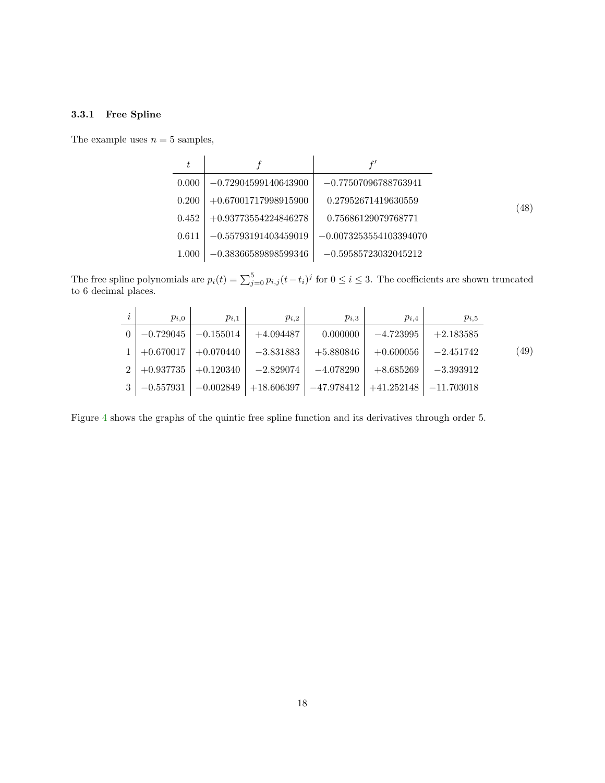### <span id="page-17-0"></span>3.3.1 Free Spline

The example uses  $n=5$  samples,

<span id="page-17-1"></span>

| 0.000 | $-0.72904599140643900$ | $-0.77507096788763941$   |      |
|-------|------------------------|--------------------------|------|
| 0.200 | $+0.67001717998915900$ | 0.27952671419630559      | (48) |
| 0.452 | $+0.93773554224846278$ | 0.75686129079768771      |      |
| 0.611 | $-0.55793191403459019$ | $-0.0073253554103394070$ |      |
| 1.000 | $-0.38366589898599346$ | $-0.59585723032045212$   |      |

The free spline polynomials are  $p_i(t) = \sum_{j=0}^{5} p_{i,j}(t-t_i)^j$  for  $0 \le i \le 3$ . The coefficients are shown truncated to 6 decimal places.

| $\imath$ | $p_{i,0}$ | $p_{i,1}$                       | $p_{i,2}$                                             | $p_{i,3}$                                                                | $p_{i,4}$               | $p_{i,5}$   |      |
|----------|-----------|---------------------------------|-------------------------------------------------------|--------------------------------------------------------------------------|-------------------------|-------------|------|
|          |           | $0$   $-0.729045$   $-0.155014$ | $+4.094487$                                           | $0.000000$                                                               | -4.723995               | $+2.183585$ |      |
|          |           |                                 | $1 \mid +0.670017 \mid +0.070440 \mid -3.831883 \mid$ | $+5.880846$                                                              | $+0.600056$             | $-2.451742$ | (49) |
|          |           |                                 |                                                       | $2   +0.937735   +0.120340   -2.829074   -4.078290  $                    | $+8.685269$ $-3.393912$ |             |      |
|          |           |                                 |                                                       | $3 -0.557931 $ $-0.002849$ +18.606397 $-47.978412$ +41.252148 -11.703018 |                         |             |      |

Figure [4](#page-18-1) shows the graphs of the quintic free spline function and its derivatives through order 5.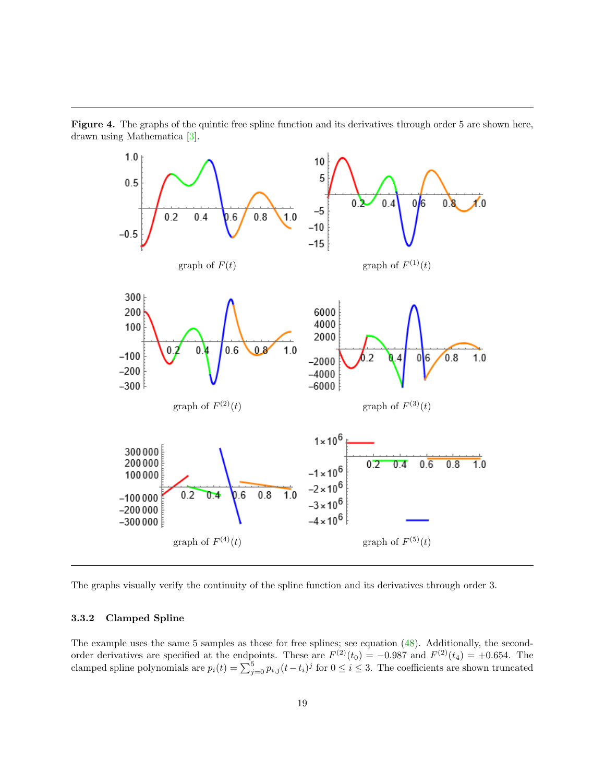

<span id="page-18-1"></span>Figure 4. The graphs of the quintic free spline function and its derivatives through order 5 are shown here, drawn using Mathematica [\[3\]](#page-23-2).

The graphs visually verify the continuity of the spline function and its derivatives through order 3.

#### <span id="page-18-0"></span>3.3.2 Clamped Spline

The example uses the same 5 samples as those for free splines; see equation [\(48\)](#page-17-1). Additionally, the secondorder derivatives are specified at the endpoints. These are  $F^{(2)}(t_0) = -0.987$  and  $F^{(2)}(t_4) = +0.654$ . The clamped spline polynomials are  $p_i(t) = \sum_{j=0}^5 p_{i,j} (t-t_i)^j$  for  $0 \le i \le 3$ . The coefficients are shown truncated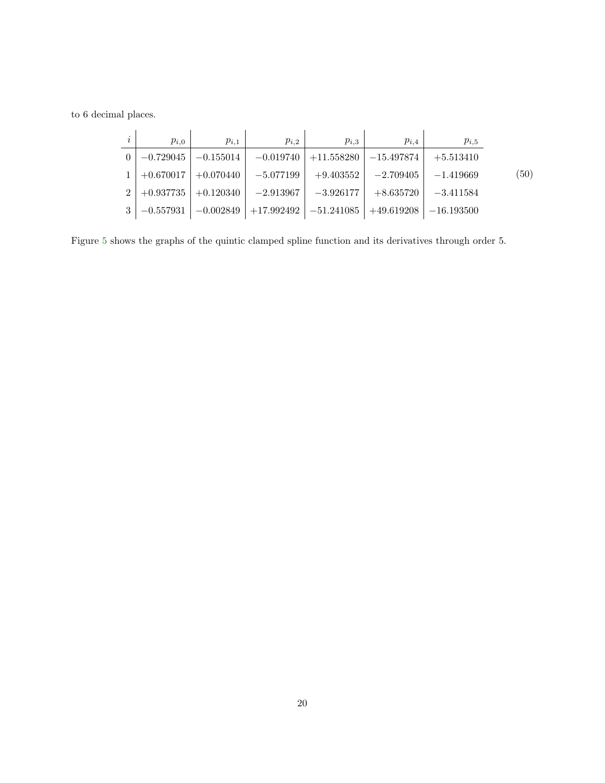to 6 decimal places.

|                | $p_{i,0}$   | $p_{i,1}$   | $p_{i,2}$    | $p_{i,3}$    | $p_{i,4}$    | $p_{i,5}$    |      |
|----------------|-------------|-------------|--------------|--------------|--------------|--------------|------|
|                | $-0.729045$ | $-0.155014$ | $-0.019740$  | $+11.558280$ | $-15.497874$ | $+5.513410$  |      |
|                | $+0.670017$ | $+0.070440$ | $-5.077199$  | $+9.403552$  | $-2.709405$  | $-1.419669$  | (50) |
| 2 <sub>1</sub> | $+0.937735$ | $+0.120340$ | $-2.913967$  | $-3.926177$  | $+8.635720$  | $-3.411584$  |      |
|                | $-0.557931$ | $-0.002849$ | $+17.992492$ | $-51.241085$ | $+49.619208$ | $-16.193500$ |      |

Figure [5](#page-20-0) shows the graphs of the quintic clamped spline function and its derivatives through order 5.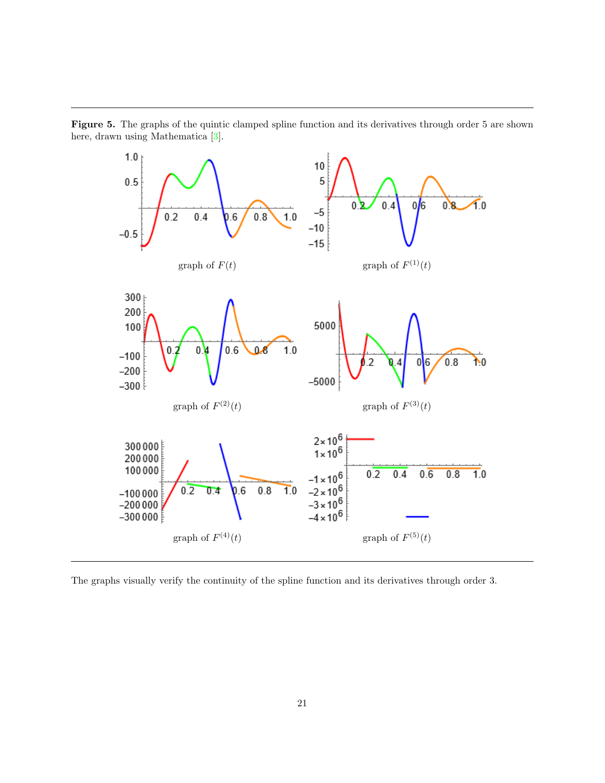

<span id="page-20-0"></span>Figure 5. The graphs of the quintic clamped spline function and its derivatives through order 5 are shown here, drawn using Mathematica [\[3\]](#page-23-2).

The graphs visually verify the continuity of the spline function and its derivatives through order 3.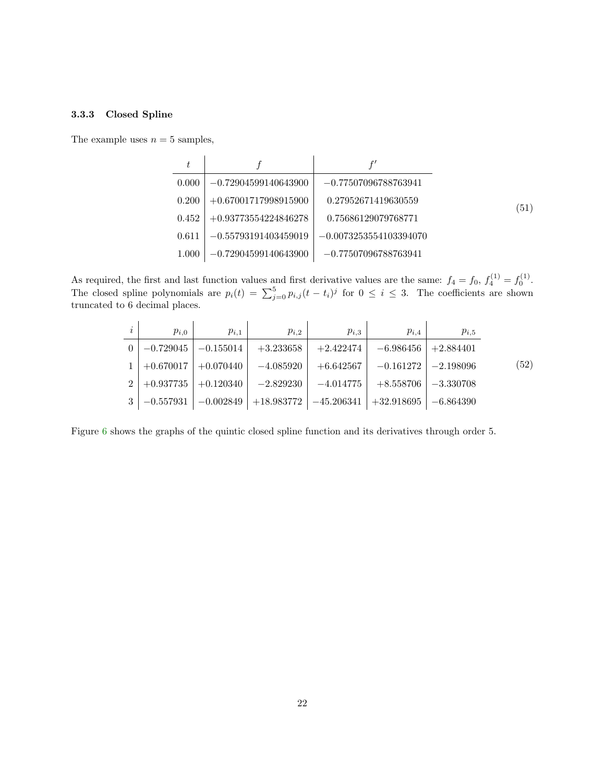### <span id="page-21-0"></span>3.3.3 Closed Spline

The example uses  $n = 5$  samples,

| 0.000 | $-0.72904599140643900$ | $-0.77507096788763941$   |      |
|-------|------------------------|--------------------------|------|
| 0.200 | $+0.67001717998915900$ | 0.27952671419630559      | (51) |
| 0.452 | $+0.93773554224846278$ | 0.75686129079768771      |      |
| 0.611 | $-0.55793191403459019$ | $-0.0073253554103394070$ |      |
| 1.000 | $-0.72904599140643900$ | $-0.77507096788763941$   |      |

As required, the first and last function values and first derivative values are the same:  $f_4 = f_0, f_4^{(1)} = f_0^{(1)}$ . The closed spline polynomials are  $p_i(t) = \sum_{j=0}^5 p_{i,j} (t-t_i)^j$  for  $0 \le i \le 3$ . The coefficients are shown truncated to 6 decimal places.

| $\dot{i}$ | $p_{i,0}$               | $p_{i,1}$                 | $p_{i,2}$                                                                      | $p_{i,3}$   | $p_{i,4}$                 | $p_{i,5}$ |      |
|-----------|-------------------------|---------------------------|--------------------------------------------------------------------------------|-------------|---------------------------|-----------|------|
|           |                         | $-0.729045$   $-0.155014$ | $+3.233658$                                                                    | $+2.422474$ | $-6.986456$   $+2.884401$ |           |      |
|           | $1 \mid +0.670017 \mid$ | $+0.070440$               | $-4.085920$                                                                    | $+6.642567$ | $-0.161272$   $-2.198096$ |           | (52) |
|           | $2 \mid +0.937735 \mid$ | $+0.120340$               | $-2.829230$                                                                    | $-4.014775$ | $+8.558706$   $-3.330708$ |           |      |
|           |                         |                           | $3   -0.557931   -0.002849   +18.983772   -45.206341   +32.918695   -6.864390$ |             |                           |           |      |

Figure [6](#page-22-1) shows the graphs of the quintic closed spline function and its derivatives through order 5.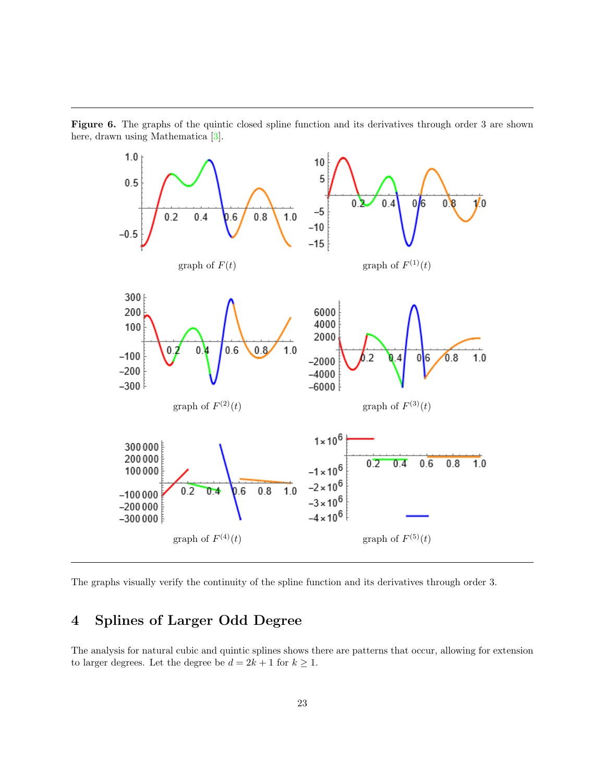

<span id="page-22-1"></span>Figure 6. The graphs of the quintic closed spline function and its derivatives through order 3 are shown here, drawn using Mathematica [\[3\]](#page-23-2).

The graphs visually verify the continuity of the spline function and its derivatives through order 3.

## <span id="page-22-0"></span>4 Splines of Larger Odd Degree

The analysis for natural cubic and quintic splines shows there are patterns that occur, allowing for extension to larger degrees. Let the degree be  $d=2k+1$  for  $k\geq 1.$